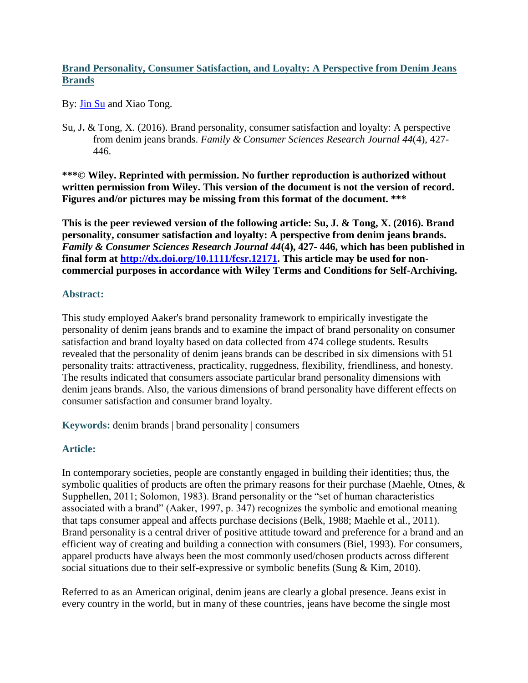# **Brand Personality, Consumer Satisfaction, and Loyalty: A Perspective from Denim Jeans Brands**

By: [Jin Su](http://libres.uncg.edu/ir/uncg/clist.aspx?id=13707) and Xiao Tong.

Su, J**.** & Tong, X. (2016). Brand personality, consumer satisfaction and loyalty: A perspective from denim jeans brands. *Family & Consumer Sciences Research Journal 44*(4), 427- 446.

**\*\*\*© Wiley. Reprinted with permission. No further reproduction is authorized without written permission from Wiley. This version of the document is not the version of record. Figures and/or pictures may be missing from this format of the document. \*\*\***

**This is the peer reviewed version of the following article: Su, J. & Tong, X. (2016). Brand personality, consumer satisfaction and loyalty: A perspective from denim jeans brands.**  *Family & Consumer Sciences Research Journal 44***(4), 427- 446, which has been published in final form at [http://dx.doi.org/10.1111/fcsr.12171.](http://dx.doi.org/10.1111/fcsr.12171) This article may be used for noncommercial purposes in accordance with Wiley Terms and Conditions for Self-Archiving.**

## **Abstract:**

This study employed Aaker's brand personality framework to empirically investigate the personality of denim jeans brands and to examine the impact of brand personality on consumer satisfaction and brand loyalty based on data collected from 474 college students. Results revealed that the personality of denim jeans brands can be described in six dimensions with 51 personality traits: attractiveness, practicality, ruggedness, flexibility, friendliness, and honesty. The results indicated that consumers associate particular brand personality dimensions with denim jeans brands. Also, the various dimensions of brand personality have different effects on consumer satisfaction and consumer brand loyalty.

**Keywords:** denim brands | brand personality | consumers

# **Article:**

In contemporary societies, people are constantly engaged in building their identities; thus, the symbolic qualities of products are often the primary reasons for their purchase (Maehle, Otnes, & Supphellen, 2011; Solomon, 1983). Brand personality or the "set of human characteristics associated with a brand" (Aaker, 1997, p. 347) recognizes the symbolic and emotional meaning that taps consumer appeal and affects purchase decisions (Belk, 1988; Maehle et al., 2011). Brand personality is a central driver of positive attitude toward and preference for a brand and an efficient way of creating and building a connection with consumers (Biel, 1993). For consumers, apparel products have always been the most commonly used/chosen products across different social situations due to their self-expressive or symbolic benefits (Sung & Kim, 2010).

Referred to as an American original, denim jeans are clearly a global presence. Jeans exist in every country in the world, but in many of these countries, jeans have become the single most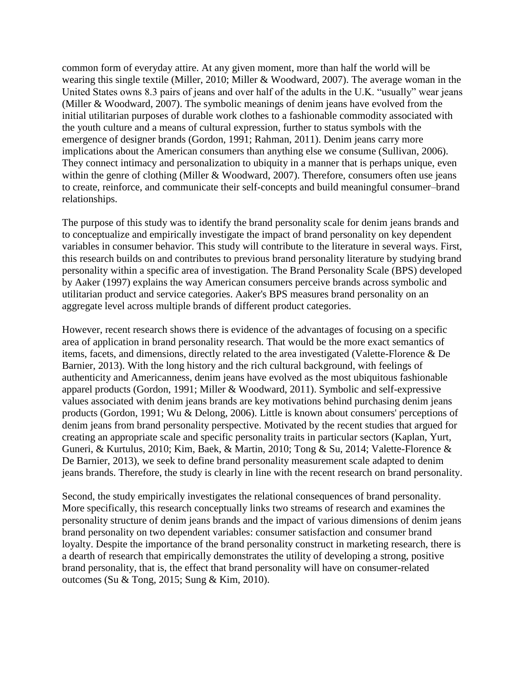common form of everyday attire. At any given moment, more than half the world will be wearing this single textile (Miller, 2010; Miller & Woodward, 2007). The average woman in the United States owns 8.3 pairs of jeans and over half of the adults in the U.K. "usually" wear jeans (Miller & Woodward, 2007). The symbolic meanings of denim jeans have evolved from the initial utilitarian purposes of durable work clothes to a fashionable commodity associated with the youth culture and a means of cultural expression, further to status symbols with the emergence of designer brands (Gordon, 1991; Rahman, 2011). Denim jeans carry more implications about the American consumers than anything else we consume (Sullivan, 2006). They connect intimacy and personalization to ubiquity in a manner that is perhaps unique, even within the genre of clothing (Miller & Woodward, 2007). Therefore, consumers often use jeans to create, reinforce, and communicate their self-concepts and build meaningful consumer–brand relationships.

The purpose of this study was to identify the brand personality scale for denim jeans brands and to conceptualize and empirically investigate the impact of brand personality on key dependent variables in consumer behavior. This study will contribute to the literature in several ways. First, this research builds on and contributes to previous brand personality literature by studying brand personality within a specific area of investigation. The Brand Personality Scale (BPS) developed by Aaker (1997) explains the way American consumers perceive brands across symbolic and utilitarian product and service categories. Aaker's BPS measures brand personality on an aggregate level across multiple brands of different product categories.

However, recent research shows there is evidence of the advantages of focusing on a specific area of application in brand personality research. That would be the more exact semantics of items, facets, and dimensions, directly related to the area investigated (Valette-Florence & De Barnier, 2013). With the long history and the rich cultural background, with feelings of authenticity and Americanness, denim jeans have evolved as the most ubiquitous fashionable apparel products (Gordon, 1991; Miller & Woodward, 2011). Symbolic and self-expressive values associated with denim jeans brands are key motivations behind purchasing denim jeans products (Gordon, 1991; Wu & Delong, 2006). Little is known about consumers' perceptions of denim jeans from brand personality perspective. Motivated by the recent studies that argued for creating an appropriate scale and specific personality traits in particular sectors (Kaplan, Yurt, Guneri, & Kurtulus, 2010; Kim, Baek, & Martin, 2010; Tong & Su, 2014; Valette-Florence & De Barnier, 2013), we seek to define brand personality measurement scale adapted to denim jeans brands. Therefore, the study is clearly in line with the recent research on brand personality.

Second, the study empirically investigates the relational consequences of brand personality. More specifically, this research conceptually links two streams of research and examines the personality structure of denim jeans brands and the impact of various dimensions of denim jeans brand personality on two dependent variables: consumer satisfaction and consumer brand loyalty. Despite the importance of the brand personality construct in marketing research, there is a dearth of research that empirically demonstrates the utility of developing a strong, positive brand personality, that is, the effect that brand personality will have on consumer-related outcomes (Su & Tong, 2015; Sung & Kim, 2010).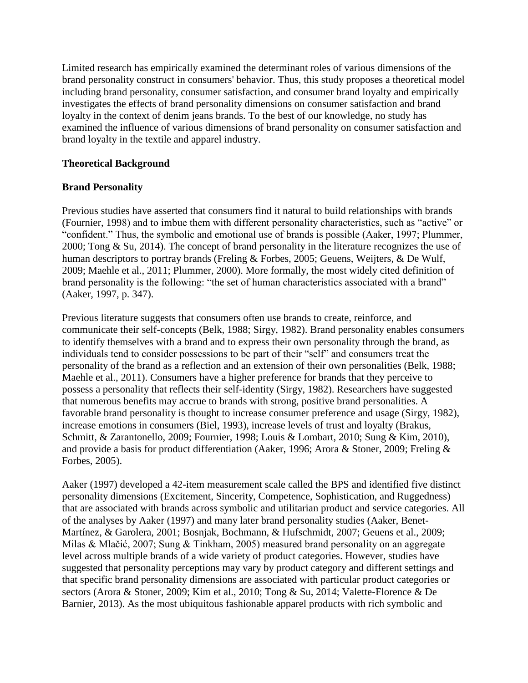Limited research has empirically examined the determinant roles of various dimensions of the brand personality construct in consumers' behavior. Thus, this study proposes a theoretical model including brand personality, consumer satisfaction, and consumer brand loyalty and empirically investigates the effects of brand personality dimensions on consumer satisfaction and brand loyalty in the context of denim jeans brands. To the best of our knowledge, no study has examined the influence of various dimensions of brand personality on consumer satisfaction and brand loyalty in the textile and apparel industry.

## **Theoretical Background**

## **Brand Personality**

Previous studies have asserted that consumers find it natural to build relationships with brands (Fournier, 1998) and to imbue them with different personality characteristics, such as "active" or "confident." Thus, the symbolic and emotional use of brands is possible (Aaker, 1997; Plummer, 2000; Tong & Su, 2014). The concept of brand personality in the literature recognizes the use of human descriptors to portray brands (Freling & Forbes, 2005; Geuens, Weijters, & De Wulf, 2009; Maehle et al., 2011; Plummer, 2000). More formally, the most widely cited definition of brand personality is the following: "the set of human characteristics associated with a brand" (Aaker, 1997, p. 347).

Previous literature suggests that consumers often use brands to create, reinforce, and communicate their self-concepts (Belk, 1988; Sirgy, 1982). Brand personality enables consumers to identify themselves with a brand and to express their own personality through the brand, as individuals tend to consider possessions to be part of their "self" and consumers treat the personality of the brand as a reflection and an extension of their own personalities (Belk, 1988; Maehle et al., 2011). Consumers have a higher preference for brands that they perceive to possess a personality that reflects their self-identity (Sirgy, 1982). Researchers have suggested that numerous benefits may accrue to brands with strong, positive brand personalities. A favorable brand personality is thought to increase consumer preference and usage (Sirgy, 1982), increase emotions in consumers (Biel, 1993), increase levels of trust and loyalty (Brakus, Schmitt, & Zarantonello, 2009; Fournier, 1998; Louis & Lombart, 2010; Sung & Kim, 2010), and provide a basis for product differentiation (Aaker, 1996; Arora & Stoner, 2009; Freling & Forbes, 2005).

Aaker (1997) developed a 42-item measurement scale called the BPS and identified five distinct personality dimensions (Excitement, Sincerity, Competence, Sophistication, and Ruggedness) that are associated with brands across symbolic and utilitarian product and service categories. All of the analyses by Aaker (1997) and many later brand personality studies (Aaker, Benet-Martínez, & Garolera, 2001; Bosnjak, Bochmann, & Hufschmidt, 2007; Geuens et al., 2009; Milas & Mlačić, 2007; Sung & Tinkham, 2005) measured brand personality on an aggregate level across multiple brands of a wide variety of product categories. However, studies have suggested that personality perceptions may vary by product category and different settings and that specific brand personality dimensions are associated with particular product categories or sectors (Arora & Stoner, 2009; Kim et al., 2010; Tong & Su, 2014; Valette-Florence & De Barnier, 2013). As the most ubiquitous fashionable apparel products with rich symbolic and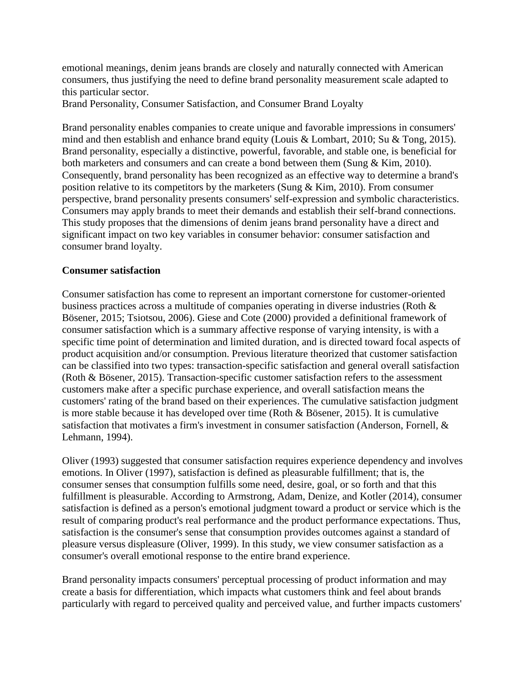emotional meanings, denim jeans brands are closely and naturally connected with American consumers, thus justifying the need to define brand personality measurement scale adapted to this particular sector.

Brand Personality, Consumer Satisfaction, and Consumer Brand Loyalty

Brand personality enables companies to create unique and favorable impressions in consumers' mind and then establish and enhance brand equity (Louis & Lombart, 2010; Su & Tong, 2015). Brand personality, especially a distinctive, powerful, favorable, and stable one, is beneficial for both marketers and consumers and can create a bond between them (Sung & Kim, 2010). Consequently, brand personality has been recognized as an effective way to determine a brand's position relative to its competitors by the marketers (Sung  $\&$  Kim, 2010). From consumer perspective, brand personality presents consumers' self-expression and symbolic characteristics. Consumers may apply brands to meet their demands and establish their self-brand connections. This study proposes that the dimensions of denim jeans brand personality have a direct and significant impact on two key variables in consumer behavior: consumer satisfaction and consumer brand loyalty.

### **Consumer satisfaction**

Consumer satisfaction has come to represent an important cornerstone for customer-oriented business practices across a multitude of companies operating in diverse industries (Roth & Bösener, 2015; Tsiotsou, 2006). Giese and Cote (2000) provided a definitional framework of consumer satisfaction which is a summary affective response of varying intensity, is with a specific time point of determination and limited duration, and is directed toward focal aspects of product acquisition and/or consumption. Previous literature theorized that customer satisfaction can be classified into two types: transaction-specific satisfaction and general overall satisfaction (Roth & Bösener, 2015). Transaction-specific customer satisfaction refers to the assessment customers make after a specific purchase experience, and overall satisfaction means the customers' rating of the brand based on their experiences. The cumulative satisfaction judgment is more stable because it has developed over time (Roth & Bösener, 2015). It is cumulative satisfaction that motivates a firm's investment in consumer satisfaction (Anderson, Fornell, & Lehmann, 1994).

Oliver (1993) suggested that consumer satisfaction requires experience dependency and involves emotions. In Oliver (1997), satisfaction is defined as pleasurable fulfillment; that is, the consumer senses that consumption fulfills some need, desire, goal, or so forth and that this fulfillment is pleasurable. According to Armstrong, Adam, Denize, and Kotler (2014), consumer satisfaction is defined as a person's emotional judgment toward a product or service which is the result of comparing product's real performance and the product performance expectations. Thus, satisfaction is the consumer's sense that consumption provides outcomes against a standard of pleasure versus displeasure (Oliver, 1999). In this study, we view consumer satisfaction as a consumer's overall emotional response to the entire brand experience.

Brand personality impacts consumers' perceptual processing of product information and may create a basis for differentiation, which impacts what customers think and feel about brands particularly with regard to perceived quality and perceived value, and further impacts customers'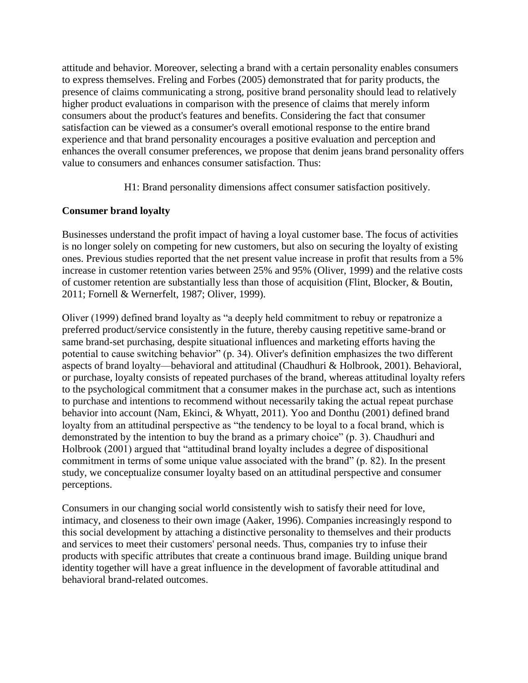attitude and behavior. Moreover, selecting a brand with a certain personality enables consumers to express themselves. Freling and Forbes (2005) demonstrated that for parity products, the presence of claims communicating a strong, positive brand personality should lead to relatively higher product evaluations in comparison with the presence of claims that merely inform consumers about the product's features and benefits. Considering the fact that consumer satisfaction can be viewed as a consumer's overall emotional response to the entire brand experience and that brand personality encourages a positive evaluation and perception and enhances the overall consumer preferences, we propose that denim jeans brand personality offers value to consumers and enhances consumer satisfaction. Thus:

H1: Brand personality dimensions affect consumer satisfaction positively.

# **Consumer brand loyalty**

Businesses understand the profit impact of having a loyal customer base. The focus of activities is no longer solely on competing for new customers, but also on securing the loyalty of existing ones. Previous studies reported that the net present value increase in profit that results from a 5% increase in customer retention varies between 25% and 95% (Oliver, 1999) and the relative costs of customer retention are substantially less than those of acquisition (Flint, Blocker, & Boutin, 2011; Fornell & Wernerfelt, 1987; Oliver, 1999).

Oliver (1999) defined brand loyalty as "a deeply held commitment to rebuy or repatronize a preferred product/service consistently in the future, thereby causing repetitive same-brand or same brand-set purchasing, despite situational influences and marketing efforts having the potential to cause switching behavior" (p. 34). Oliver's definition emphasizes the two different aspects of brand loyalty—behavioral and attitudinal (Chaudhuri & Holbrook, 2001). Behavioral, or purchase, loyalty consists of repeated purchases of the brand, whereas attitudinal loyalty refers to the psychological commitment that a consumer makes in the purchase act, such as intentions to purchase and intentions to recommend without necessarily taking the actual repeat purchase behavior into account (Nam, Ekinci, & Whyatt, 2011). Yoo and Donthu (2001) defined brand loyalty from an attitudinal perspective as "the tendency to be loyal to a focal brand, which is demonstrated by the intention to buy the brand as a primary choice" (p. 3). Chaudhuri and Holbrook (2001) argued that "attitudinal brand loyalty includes a degree of dispositional commitment in terms of some unique value associated with the brand" (p. 82). In the present study, we conceptualize consumer loyalty based on an attitudinal perspective and consumer perceptions.

Consumers in our changing social world consistently wish to satisfy their need for love, intimacy, and closeness to their own image (Aaker, 1996). Companies increasingly respond to this social development by attaching a distinctive personality to themselves and their products and services to meet their customers' personal needs. Thus, companies try to infuse their products with specific attributes that create a continuous brand image. Building unique brand identity together will have a great influence in the development of favorable attitudinal and behavioral brand-related outcomes.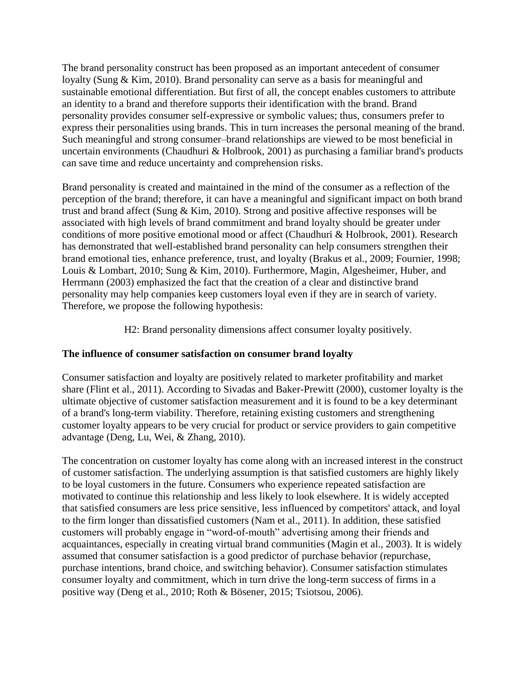The brand personality construct has been proposed as an important antecedent of consumer loyalty (Sung & Kim, 2010). Brand personality can serve as a basis for meaningful and sustainable emotional differentiation. But first of all, the concept enables customers to attribute an identity to a brand and therefore supports their identification with the brand. Brand personality provides consumer self-expressive or symbolic values; thus, consumers prefer to express their personalities using brands. This in turn increases the personal meaning of the brand. Such meaningful and strong consumer–brand relationships are viewed to be most beneficial in uncertain environments (Chaudhuri & Holbrook, 2001) as purchasing a familiar brand's products can save time and reduce uncertainty and comprehension risks.

Brand personality is created and maintained in the mind of the consumer as a reflection of the perception of the brand; therefore, it can have a meaningful and significant impact on both brand trust and brand affect (Sung & Kim, 2010). Strong and positive affective responses will be associated with high levels of brand commitment and brand loyalty should be greater under conditions of more positive emotional mood or affect (Chaudhuri & Holbrook, 2001). Research has demonstrated that well-established brand personality can help consumers strengthen their brand emotional ties, enhance preference, trust, and loyalty (Brakus et al., 2009; Fournier, 1998; Louis & Lombart, 2010; Sung & Kim, 2010). Furthermore, Magin, Algesheimer, Huber, and Herrmann (2003) emphasized the fact that the creation of a clear and distinctive brand personality may help companies keep customers loyal even if they are in search of variety. Therefore, we propose the following hypothesis:

H2: Brand personality dimensions affect consumer loyalty positively.

# **The influence of consumer satisfaction on consumer brand loyalty**

Consumer satisfaction and loyalty are positively related to marketer profitability and market share (Flint et al., 2011). According to Sivadas and Baker-Prewitt (2000), customer loyalty is the ultimate objective of customer satisfaction measurement and it is found to be a key determinant of a brand's long-term viability. Therefore, retaining existing customers and strengthening customer loyalty appears to be very crucial for product or service providers to gain competitive advantage (Deng, Lu, Wei, & Zhang, 2010).

The concentration on customer loyalty has come along with an increased interest in the construct of customer satisfaction. The underlying assumption is that satisfied customers are highly likely to be loyal customers in the future. Consumers who experience repeated satisfaction are motivated to continue this relationship and less likely to look elsewhere. It is widely accepted that satisfied consumers are less price sensitive, less influenced by competitors' attack, and loyal to the firm longer than dissatisfied customers (Nam et al., 2011). In addition, these satisfied customers will probably engage in "word-of-mouth" advertising among their friends and acquaintances, especially in creating virtual brand communities (Magin et al., 2003). It is widely assumed that consumer satisfaction is a good predictor of purchase behavior (repurchase, purchase intentions, brand choice, and switching behavior). Consumer satisfaction stimulates consumer loyalty and commitment, which in turn drive the long-term success of firms in a positive way (Deng et al., 2010; Roth & Bösener, 2015; Tsiotsou, 2006).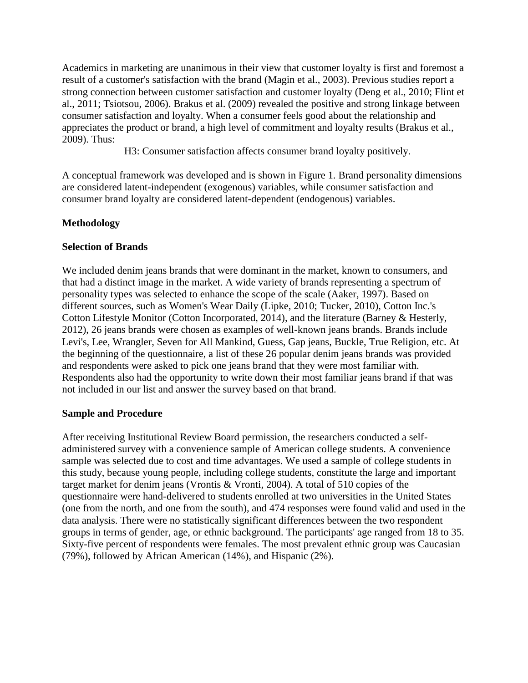Academics in marketing are unanimous in their view that customer loyalty is first and foremost a result of a customer's satisfaction with the brand (Magin et al., 2003). Previous studies report a strong connection between customer satisfaction and customer loyalty (Deng et al., 2010; Flint et al., 2011; Tsiotsou, 2006). Brakus et al. (2009) revealed the positive and strong linkage between consumer satisfaction and loyalty. When a consumer feels good about the relationship and appreciates the product or brand, a high level of commitment and loyalty results (Brakus et al., 2009). Thus:

H3: Consumer satisfaction affects consumer brand loyalty positively.

A conceptual framework was developed and is shown in Figure 1. Brand personality dimensions are considered latent-independent (exogenous) variables, while consumer satisfaction and consumer brand loyalty are considered latent-dependent (endogenous) variables.

# **Methodology**

## **Selection of Brands**

We included denim jeans brands that were dominant in the market, known to consumers, and that had a distinct image in the market. A wide variety of brands representing a spectrum of personality types was selected to enhance the scope of the scale (Aaker, 1997). Based on different sources, such as Women's Wear Daily (Lipke, 2010; Tucker, 2010), Cotton Inc.'s Cotton Lifestyle Monitor (Cotton Incorporated, 2014), and the literature (Barney & Hesterly, 2012), 26 jeans brands were chosen as examples of well-known jeans brands. Brands include Levi's, Lee, Wrangler, Seven for All Mankind, Guess, Gap jeans, Buckle, True Religion, etc. At the beginning of the questionnaire, a list of these 26 popular denim jeans brands was provided and respondents were asked to pick one jeans brand that they were most familiar with. Respondents also had the opportunity to write down their most familiar jeans brand if that was not included in our list and answer the survey based on that brand.

### **Sample and Procedure**

After receiving Institutional Review Board permission, the researchers conducted a selfadministered survey with a convenience sample of American college students. A convenience sample was selected due to cost and time advantages. We used a sample of college students in this study, because young people, including college students, constitute the large and important target market for denim jeans (Vrontis & Vronti, 2004). A total of 510 copies of the questionnaire were hand-delivered to students enrolled at two universities in the United States (one from the north, and one from the south), and 474 responses were found valid and used in the data analysis. There were no statistically significant differences between the two respondent groups in terms of gender, age, or ethnic background. The participants' age ranged from 18 to 35. Sixty-five percent of respondents were females. The most prevalent ethnic group was Caucasian (79%), followed by African American (14%), and Hispanic (2%).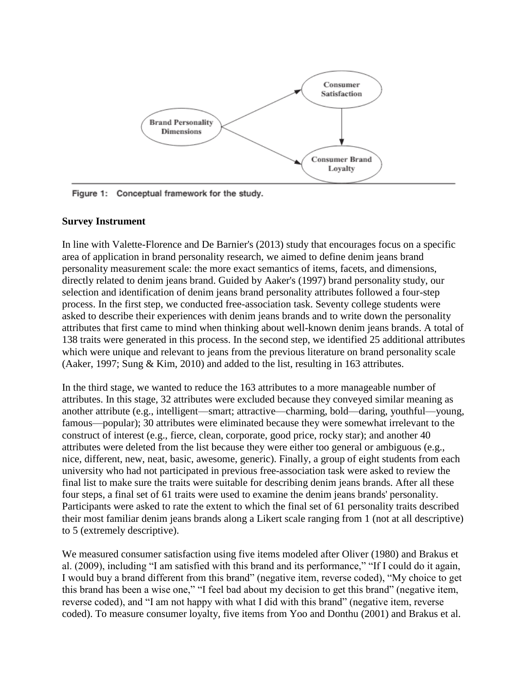

Figure 1: Conceptual framework for the study.

#### **Survey Instrument**

In line with Valette-Florence and De Barnier's (2013) study that encourages focus on a specific area of application in brand personality research, we aimed to define denim jeans brand personality measurement scale: the more exact semantics of items, facets, and dimensions, directly related to denim jeans brand. Guided by Aaker's (1997) brand personality study, our selection and identification of denim jeans brand personality attributes followed a four-step process. In the first step, we conducted free-association task. Seventy college students were asked to describe their experiences with denim jeans brands and to write down the personality attributes that first came to mind when thinking about well-known denim jeans brands. A total of 138 traits were generated in this process. In the second step, we identified 25 additional attributes which were unique and relevant to jeans from the previous literature on brand personality scale (Aaker, 1997; Sung & Kim, 2010) and added to the list, resulting in 163 attributes.

In the third stage, we wanted to reduce the 163 attributes to a more manageable number of attributes. In this stage, 32 attributes were excluded because they conveyed similar meaning as another attribute (e.g., intelligent—smart; attractive—charming, bold—daring, youthful—young, famous—popular); 30 attributes were eliminated because they were somewhat irrelevant to the construct of interest (e.g., fierce, clean, corporate, good price, rocky star); and another 40 attributes were deleted from the list because they were either too general or ambiguous (e.g., nice, different, new, neat, basic, awesome, generic). Finally, a group of eight students from each university who had not participated in previous free-association task were asked to review the final list to make sure the traits were suitable for describing denim jeans brands. After all these four steps, a final set of 61 traits were used to examine the denim jeans brands' personality. Participants were asked to rate the extent to which the final set of 61 personality traits described their most familiar denim jeans brands along a Likert scale ranging from 1 (not at all descriptive) to 5 (extremely descriptive).

We measured consumer satisfaction using five items modeled after Oliver (1980) and Brakus et al. (2009), including "I am satisfied with this brand and its performance," "If I could do it again, I would buy a brand different from this brand" (negative item, reverse coded), "My choice to get this brand has been a wise one," "I feel bad about my decision to get this brand" (negative item, reverse coded), and "I am not happy with what I did with this brand" (negative item, reverse coded). To measure consumer loyalty, five items from Yoo and Donthu (2001) and Brakus et al.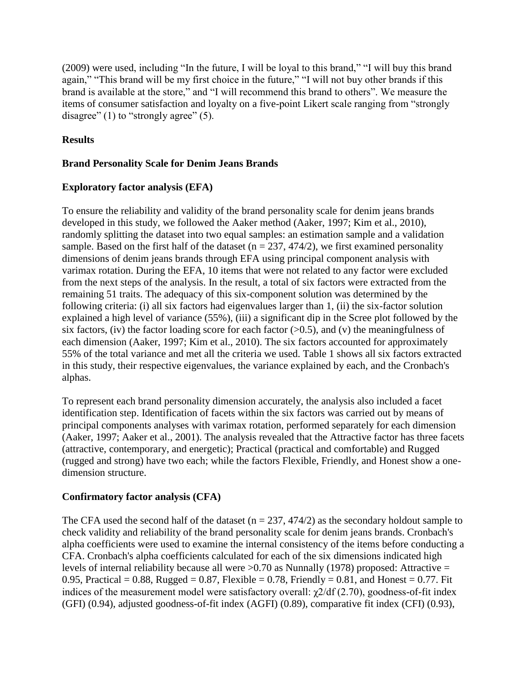(2009) were used, including "In the future, I will be loyal to this brand," "I will buy this brand again," "This brand will be my first choice in the future," "I will not buy other brands if this brand is available at the store," and "I will recommend this brand to others". We measure the items of consumer satisfaction and loyalty on a five-point Likert scale ranging from "strongly disagree"  $(1)$  to "strongly agree"  $(5)$ .

# **Results**

# **Brand Personality Scale for Denim Jeans Brands**

# **Exploratory factor analysis (EFA)**

To ensure the reliability and validity of the brand personality scale for denim jeans brands developed in this study, we followed the Aaker method (Aaker, 1997; Kim et al., 2010), randomly splitting the dataset into two equal samples: an estimation sample and a validation sample. Based on the first half of the dataset ( $n = 237, 474/2$ ), we first examined personality dimensions of denim jeans brands through EFA using principal component analysis with varimax rotation. During the EFA, 10 items that were not related to any factor were excluded from the next steps of the analysis. In the result, a total of six factors were extracted from the remaining 51 traits. The adequacy of this six-component solution was determined by the following criteria: (i) all six factors had eigenvalues larger than 1, (ii) the six-factor solution explained a high level of variance (55%), (iii) a significant dip in the Scree plot followed by the six factors, (iv) the factor loading score for each factor  $(>0.5)$ , and (v) the meaningfulness of each dimension (Aaker, 1997; Kim et al., 2010). The six factors accounted for approximately 55% of the total variance and met all the criteria we used. Table 1 shows all six factors extracted in this study, their respective eigenvalues, the variance explained by each, and the Cronbach's alphas.

To represent each brand personality dimension accurately, the analysis also included a facet identification step. Identification of facets within the six factors was carried out by means of principal components analyses with varimax rotation, performed separately for each dimension (Aaker, 1997; Aaker et al., 2001). The analysis revealed that the Attractive factor has three facets (attractive, contemporary, and energetic); Practical (practical and comfortable) and Rugged (rugged and strong) have two each; while the factors Flexible, Friendly, and Honest show a onedimension structure.

# **Confirmatory factor analysis (CFA)**

The CFA used the second half of the dataset ( $n = 237, 474/2$ ) as the secondary holdout sample to check validity and reliability of the brand personality scale for denim jeans brands. Cronbach's alpha coefficients were used to examine the internal consistency of the items before conducting a CFA. Cronbach's alpha coefficients calculated for each of the six dimensions indicated high levels of internal reliability because all were >0.70 as Nunnally (1978) proposed: Attractive = 0.95, Practical = 0.88, Rugged = 0.87, Flexible = 0.78, Friendly = 0.81, and Honest = 0.77. Fit indices of the measurement model were satisfactory overall:  $\chi$ 2/df (2.70), goodness-of-fit index (GFI) (0.94), adjusted goodness-of-fit index (AGFI) (0.89), comparative fit index (CFI) (0.93),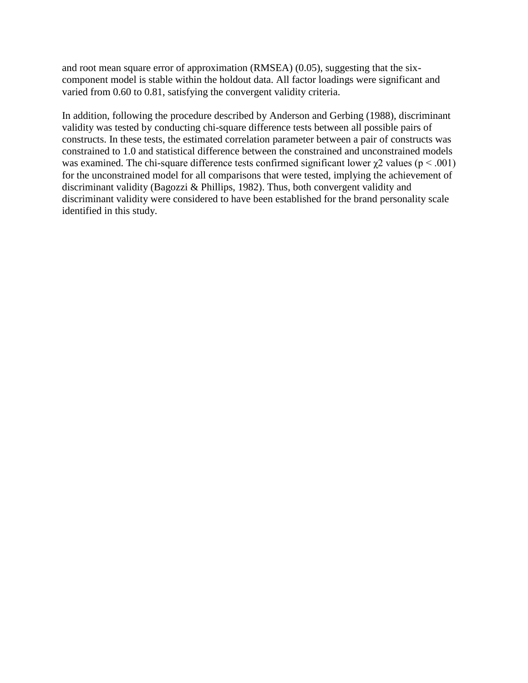and root mean square error of approximation (RMSEA) (0.05), suggesting that the sixcomponent model is stable within the holdout data. All factor loadings were significant and varied from 0.60 to 0.81, satisfying the convergent validity criteria.

In addition, following the procedure described by Anderson and Gerbing (1988), discriminant validity was tested by conducting chi-square difference tests between all possible pairs of constructs. In these tests, the estimated correlation parameter between a pair of constructs was constrained to 1.0 and statistical difference between the constrained and unconstrained models was examined. The chi-square difference tests confirmed significant lower  $\chi$ 2 values (p < .001) for the unconstrained model for all comparisons that were tested, implying the achievement of discriminant validity (Bagozzi & Phillips, 1982). Thus, both convergent validity and discriminant validity were considered to have been established for the brand personality scale identified in this study.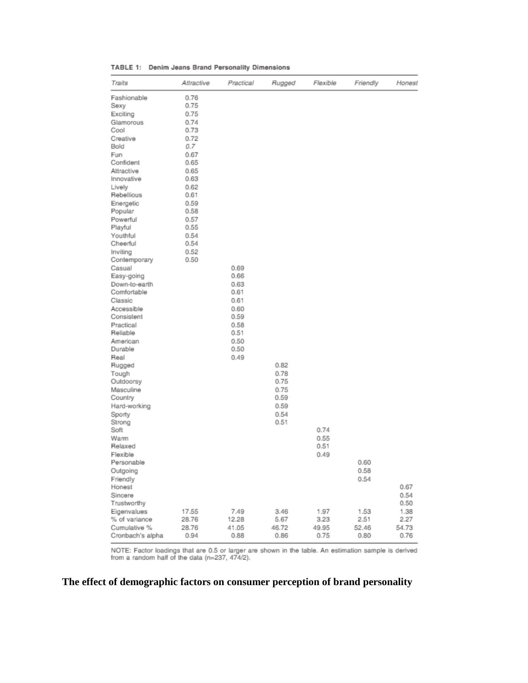| Traits           | Attractive | Practical | Rugged | Flexible | Friendly | Honest |
|------------------|------------|-----------|--------|----------|----------|--------|
| Fashionable      | 0.76       |           |        |          |          |        |
| Sexy             | 0.75       |           |        |          |          |        |
| Exciting         | 0.75       |           |        |          |          |        |
| Glamorous        | 0.74       |           |        |          |          |        |
| Cool             | 0.73       |           |        |          |          |        |
| Creative         | 0.72       |           |        |          |          |        |
| Bold             | 0.7        |           |        |          |          |        |
| Fun              | 0.67       |           |        |          |          |        |
| Confident        | 0.65       |           |        |          |          |        |
| Attractive       | 0.65       |           |        |          |          |        |
| Innovative       | 0.63       |           |        |          |          |        |
| Lively           | 0.62       |           |        |          |          |        |
| Rebellious       | 0.61       |           |        |          |          |        |
| Energetic        | 0.59       |           |        |          |          |        |
| Popular          | 0.58       |           |        |          |          |        |
| Powerful         | 0.57       |           |        |          |          |        |
| Playful          | 0.55       |           |        |          |          |        |
| Youthful         | 0.54       |           |        |          |          |        |
| Cheerful         | 0.54       |           |        |          |          |        |
| Inviting         | 0.52       |           |        |          |          |        |
| Contemporary     | 0.50       |           |        |          |          |        |
| Casual           |            | 0.69      |        |          |          |        |
| Easy-going       |            | 0.66      |        |          |          |        |
| Down-to-earth    |            | 0.63      |        |          |          |        |
| Comfortable      |            | 0.61      |        |          |          |        |
| Classic          |            | 0.61      |        |          |          |        |
| Accessible       |            | 0.60      |        |          |          |        |
| Consistent       |            | 0.59      |        |          |          |        |
| Practical        |            | 0.58      |        |          |          |        |
| Reliable         |            | 0.51      |        |          |          |        |
| American         |            | 0.50      |        |          |          |        |
| Durable          |            | 0.50      |        |          |          |        |
| Real             |            | 0.49      |        |          |          |        |
| Rugged           |            |           | 0.82   |          |          |        |
| Tough            |            |           | 0.78   |          |          |        |
| Outdoorsy        |            |           | 0.75   |          |          |        |
| Masculine        |            |           | 0.75   |          |          |        |
| Country          |            |           | 0.59   |          |          |        |
| Hard-working     |            |           | 0.59   |          |          |        |
| Sporty           |            |           | 0.54   |          |          |        |
| Strong           |            |           | 0.51   |          |          |        |
| Soft             |            |           |        | 0.74     |          |        |
| Warm             |            |           |        | 0.55     |          |        |
| Relaxed          |            |           |        | 0.51     |          |        |
| Flexible         |            |           |        | 0.49     |          |        |
| Personable       |            |           |        |          | 0.60     |        |
| Outgoing         |            |           |        |          | 0.58     |        |
| Friendly         |            |           |        |          | 0.54     |        |
| Honest           |            |           |        |          |          | 0.67   |
| Sincere          |            |           |        |          |          | 0.54   |
| Trustworthy      |            |           |        |          |          | 0.50   |
| Eigenvalues      | 17.55      | 7.49      | 3.46   | 1.97     | 1.53     | 1.38   |
| % of variance    | 28.76      | 12.28     | 5.67   | 3.23     | 2.51     | 2.27   |
| Cumulative %     | 28.76      | 41.05     | 46.72  | 49.95    | 52.46    | 54.73  |
| Cronbach's alpha | 0.94       | 0.88      | 0.86   | 0.75     | 0.80     | 0.76   |

TABLE 1: Denim Jeans Brand Personality Dimensions

NOTE: Factor loadings that are 0.5 or larger are shown in the table. An estimation sample is derived from a random half of the data (n=237, 474/2).

# **The effect of demographic factors on consumer perception of brand personality**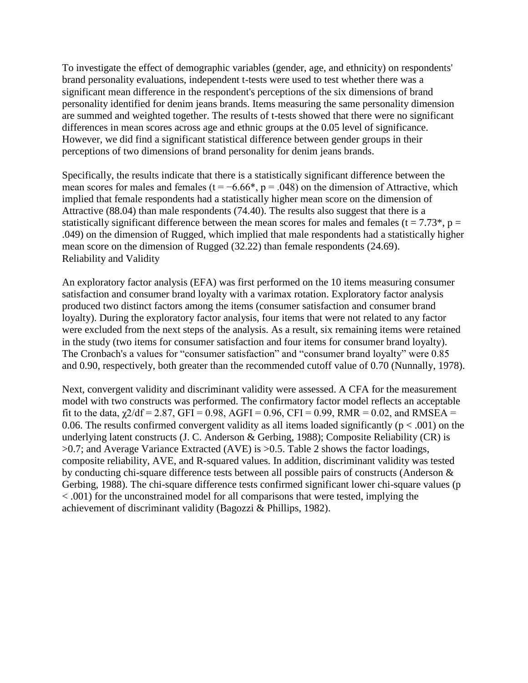To investigate the effect of demographic variables (gender, age, and ethnicity) on respondents' brand personality evaluations, independent t-tests were used to test whether there was a significant mean difference in the respondent's perceptions of the six dimensions of brand personality identified for denim jeans brands. Items measuring the same personality dimension are summed and weighted together. The results of t-tests showed that there were no significant differences in mean scores across age and ethnic groups at the 0.05 level of significance. However, we did find a significant statistical difference between gender groups in their perceptions of two dimensions of brand personality for denim jeans brands.

Specifically, the results indicate that there is a statistically significant difference between the mean scores for males and females (t =  $-6.66$ \*, p = .048) on the dimension of Attractive, which implied that female respondents had a statistically higher mean score on the dimension of Attractive (88.04) than male respondents (74.40). The results also suggest that there is a statistically significant difference between the mean scores for males and females ( $t = 7.73^*$ ,  $p =$ .049) on the dimension of Rugged, which implied that male respondents had a statistically higher mean score on the dimension of Rugged (32.22) than female respondents (24.69). Reliability and Validity

An exploratory factor analysis (EFA) was first performed on the 10 items measuring consumer satisfaction and consumer brand loyalty with a varimax rotation. Exploratory factor analysis produced two distinct factors among the items (consumer satisfaction and consumer brand loyalty). During the exploratory factor analysis, four items that were not related to any factor were excluded from the next steps of the analysis. As a result, six remaining items were retained in the study (two items for consumer satisfaction and four items for consumer brand loyalty). The Cronbach's a values for "consumer satisfaction" and "consumer brand loyalty" were 0.85 and 0.90, respectively, both greater than the recommended cutoff value of 0.70 (Nunnally, 1978).

Next, convergent validity and discriminant validity were assessed. A CFA for the measurement model with two constructs was performed. The confirmatory factor model reflects an acceptable fit to the data,  $\gamma$ 2/df = 2.87, GFI = 0.98, AGFI = 0.96, CFI = 0.99, RMR = 0.02, and RMSEA = 0.06. The results confirmed convergent validity as all items loaded significantly ( $p < .001$ ) on the underlying latent constructs (J. C. Anderson & Gerbing, 1988); Composite Reliability (CR) is >0.7; and Average Variance Extracted (AVE) is >0.5. Table 2 shows the factor loadings, composite reliability, AVE, and R-squared values. In addition, discriminant validity was tested by conducting chi-square difference tests between all possible pairs of constructs (Anderson & Gerbing, 1988). The chi-square difference tests confirmed significant lower chi-square values (p < .001) for the unconstrained model for all comparisons that were tested, implying the achievement of discriminant validity (Bagozzi & Phillips, 1982).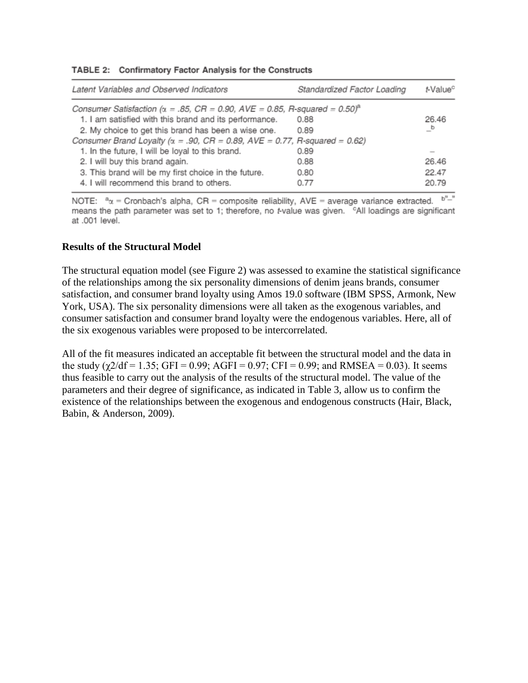| TABLE 2: Confirmatory Factor Analysis for the Constructs |  |  |  |  |  |  |
|----------------------------------------------------------|--|--|--|--|--|--|
|----------------------------------------------------------|--|--|--|--|--|--|

| Latent Variables and Observed Indicators                                                      | Standardized Factor Loading | t-Value <sup>c</sup>                    |
|-----------------------------------------------------------------------------------------------|-----------------------------|-----------------------------------------|
| Consumer Satisfaction ( $\alpha$ = .85, CR = 0.90, AVE = 0.85, R-squared = 0.50) <sup>a</sup> |                             |                                         |
| 1. I am satisfied with this brand and its performance.                                        | 0.88                        | 26.46                                   |
| 2. My choice to get this brand has been a wise one.                                           | 0.89                        | $\overline{\phantom{a}}^{\phantom{a}b}$ |
| Consumer Brand Loyalty ( $\alpha$ = .90, CR = 0.89, AVE = 0.77, R-squared = 0.62)             |                             |                                         |
| 1. In the future, I will be loyal to this brand.                                              | 0.89                        | $\hspace{0.5cm}$                        |
| 2. I will buy this brand again.                                                               | 0.88                        | 26.46                                   |
| 3. This brand will be my first choice in the future.                                          | 0.80                        | 22.47                                   |
| 4. I will recommend this brand to others.                                                     | 0.77                        | 20.79                                   |

 $b^{\frac{m}{2}-m}$ NOTE:  $a_{\alpha}$  = Cronbach's alpha, CR = composite reliability, AVE = average variance extracted. means the path parameter was set to 1; therefore, no t-value was given. CAII loadings are significant at .001 level.

### **Results of the Structural Model**

The structural equation model (see Figure 2) was assessed to examine the statistical significance of the relationships among the six personality dimensions of denim jeans brands, consumer satisfaction, and consumer brand loyalty using Amos 19.0 software (IBM SPSS, Armonk, New York, USA). The six personality dimensions were all taken as the exogenous variables, and consumer satisfaction and consumer brand loyalty were the endogenous variables. Here, all of the six exogenous variables were proposed to be intercorrelated.

All of the fit measures indicated an acceptable fit between the structural model and the data in the study  $(\gamma 2/df = 1.35; GFI = 0.99; AGFI = 0.97; CFI = 0.99; and RMSEA = 0.03)$ . It seems thus feasible to carry out the analysis of the results of the structural model. The value of the parameters and their degree of significance, as indicated in Table 3, allow us to confirm the existence of the relationships between the exogenous and endogenous constructs (Hair, Black, Babin, & Anderson, 2009).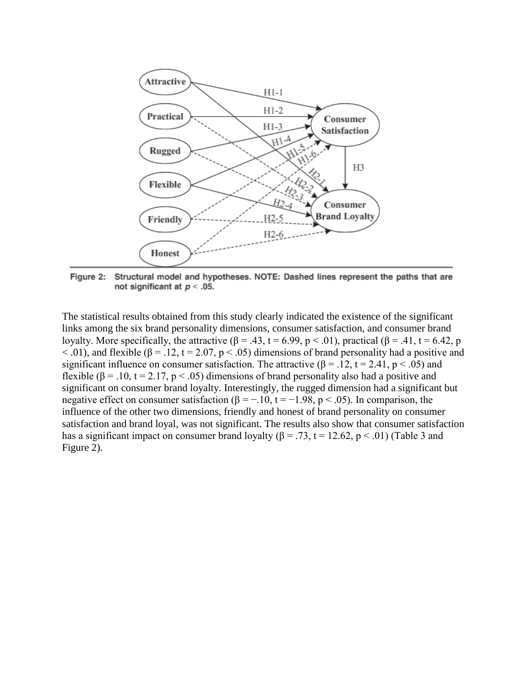

Structural model and hypotheses. NOTE: Dashed lines represent the paths that are Figure 2: not significant at  $p < .05$ .

The statistical results obtained from this study clearly indicated the existence of the significant links among the six brand personality dimensions, consumer satisfaction, and consumer brand loyalty. More specifically, the attractive ( $\beta$  = .43, t = 6.99, p < .01), practical ( $\beta$  = .41, t = 6.42, p  $<$  0.01), and flexible ( $\beta$  = .12, t = 2.07, p  $<$  0.05) dimensions of brand personality had a positive and significant influence on consumer satisfaction. The attractive ( $\beta$  = .12, t = 2.41, p < .05) and flexible ( $\beta$  = .10, t = 2.17, p < .05) dimensions of brand personality also had a positive and significant on consumer brand loyalty. Interestingly, the rugged dimension had a significant but negative effect on consumer satisfaction ( $\beta = -10$ , t = -1.98, p < .05). In comparison, the influence of the other two dimensions, friendly and honest of brand personality on consumer satisfaction and brand loyal, was not significant. The results also show that consumer satisfaction has a significant impact on consumer brand loyalty ( $\beta$  = .73, t = 12.62, p < .01) (Table 3 and Figure 2).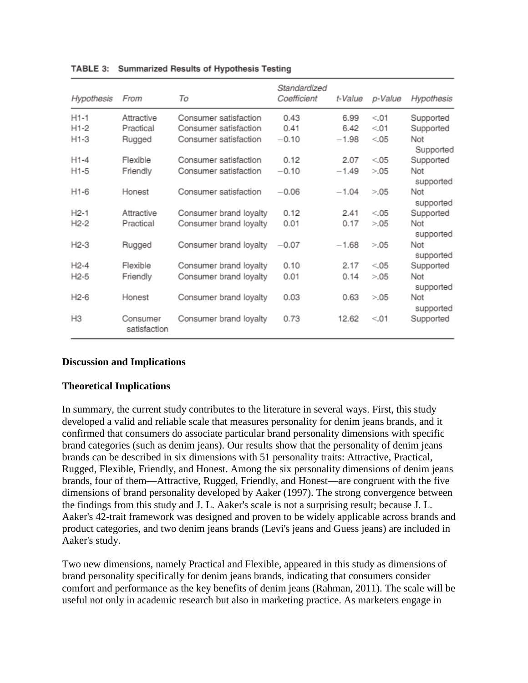| Hypothesis     | From                     | Tο                     | Standardized<br>Coefficient | t-Value | p-Value | Hypothesis       |
|----------------|--------------------------|------------------------|-----------------------------|---------|---------|------------------|
| $H1-1$         | Attractive               | Consumer satisfaction  | 0.43                        | 6.99    | < 01    | Supported        |
| $H1-2$         | Practical                | Consumer satisfaction  | 0.41                        | 6.42    | $01$    | Supported        |
| $H1-3$         | Rugged                   | Consumer satisfaction  | $-0.10$                     | $-1.98$ | < 05    | Not<br>Supported |
| $H1-4$         | Flexible                 | Consumer satisfaction  | 0.12                        | 2.07    | < 05    | Supported        |
| $H1-5$         | Friendly                 | Consumer satisfaction  | $-0.10$                     | $-1.49$ | > 0.05  | Not<br>supported |
| $H1-6$         | Honest                   | Consumer satisfaction  | $-0.06$                     | $-1.04$ | > 0.05  | Not<br>supported |
| $H2-1$         | Attractive               | Consumer brand loyalty | 0.12                        | 2.41    | < 05    | Supported        |
| $H2-2$         | Practical                | Consumer brand loyalty | 0.01                        | 0.17    | > 0.05  | Not<br>supported |
| $H2-3$         | Rugged                   | Consumer brand loyalty | $-0.07$                     | $-1.68$ | > 0.05  | Not<br>supported |
| $H2-4$         | Flexible                 | Consumer brand loyalty | 0.10                        | 2.17    | < 0.5   | Supported        |
| $H2-5$         | Friendly                 | Consumer brand loyalty | 0.01                        | 0.14    | > 0.05  | Not<br>supported |
| $H2-6$         | Honest                   | Consumer brand loyalty | 0.03                        | 0.63    | > 0.05  | Not<br>supported |
| H <sub>3</sub> | Consumer<br>satisfaction | Consumer brand loyalty | 0.73                        | 12.62   | $01$    | Supported        |

#### TABLE 3: Summarized Results of Hypothesis Testing

### **Discussion and Implications**

### **Theoretical Implications**

In summary, the current study contributes to the literature in several ways. First, this study developed a valid and reliable scale that measures personality for denim jeans brands, and it confirmed that consumers do associate particular brand personality dimensions with specific brand categories (such as denim jeans). Our results show that the personality of denim jeans brands can be described in six dimensions with 51 personality traits: Attractive, Practical, Rugged, Flexible, Friendly, and Honest. Among the six personality dimensions of denim jeans brands, four of them—Attractive, Rugged, Friendly, and Honest—are congruent with the five dimensions of brand personality developed by Aaker (1997). The strong convergence between the findings from this study and J. L. Aaker's scale is not a surprising result; because J. L. Aaker's 42-trait framework was designed and proven to be widely applicable across brands and product categories, and two denim jeans brands (Levi's jeans and Guess jeans) are included in Aaker's study.

Two new dimensions, namely Practical and Flexible, appeared in this study as dimensions of brand personality specifically for denim jeans brands, indicating that consumers consider comfort and performance as the key benefits of denim jeans (Rahman, 2011). The scale will be useful not only in academic research but also in marketing practice. As marketers engage in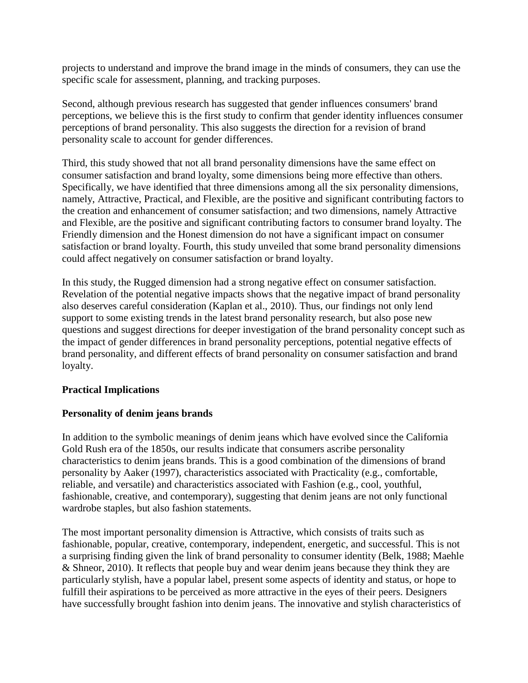projects to understand and improve the brand image in the minds of consumers, they can use the specific scale for assessment, planning, and tracking purposes.

Second, although previous research has suggested that gender influences consumers' brand perceptions, we believe this is the first study to confirm that gender identity influences consumer perceptions of brand personality. This also suggests the direction for a revision of brand personality scale to account for gender differences.

Third, this study showed that not all brand personality dimensions have the same effect on consumer satisfaction and brand loyalty, some dimensions being more effective than others. Specifically, we have identified that three dimensions among all the six personality dimensions, namely, Attractive, Practical, and Flexible, are the positive and significant contributing factors to the creation and enhancement of consumer satisfaction; and two dimensions, namely Attractive and Flexible, are the positive and significant contributing factors to consumer brand loyalty. The Friendly dimension and the Honest dimension do not have a significant impact on consumer satisfaction or brand loyalty. Fourth, this study unveiled that some brand personality dimensions could affect negatively on consumer satisfaction or brand loyalty.

In this study, the Rugged dimension had a strong negative effect on consumer satisfaction. Revelation of the potential negative impacts shows that the negative impact of brand personality also deserves careful consideration (Kaplan et al., 2010). Thus, our findings not only lend support to some existing trends in the latest brand personality research, but also pose new questions and suggest directions for deeper investigation of the brand personality concept such as the impact of gender differences in brand personality perceptions, potential negative effects of brand personality, and different effects of brand personality on consumer satisfaction and brand loyalty.

# **Practical Implications**

### **Personality of denim jeans brands**

In addition to the symbolic meanings of denim jeans which have evolved since the California Gold Rush era of the 1850s, our results indicate that consumers ascribe personality characteristics to denim jeans brands. This is a good combination of the dimensions of brand personality by Aaker (1997), characteristics associated with Practicality (e.g., comfortable, reliable, and versatile) and characteristics associated with Fashion (e.g., cool, youthful, fashionable, creative, and contemporary), suggesting that denim jeans are not only functional wardrobe staples, but also fashion statements.

The most important personality dimension is Attractive, which consists of traits such as fashionable, popular, creative, contemporary, independent, energetic, and successful. This is not a surprising finding given the link of brand personality to consumer identity (Belk, 1988; Maehle & Shneor, 2010). It reflects that people buy and wear denim jeans because they think they are particularly stylish, have a popular label, present some aspects of identity and status, or hope to fulfill their aspirations to be perceived as more attractive in the eyes of their peers. Designers have successfully brought fashion into denim jeans. The innovative and stylish characteristics of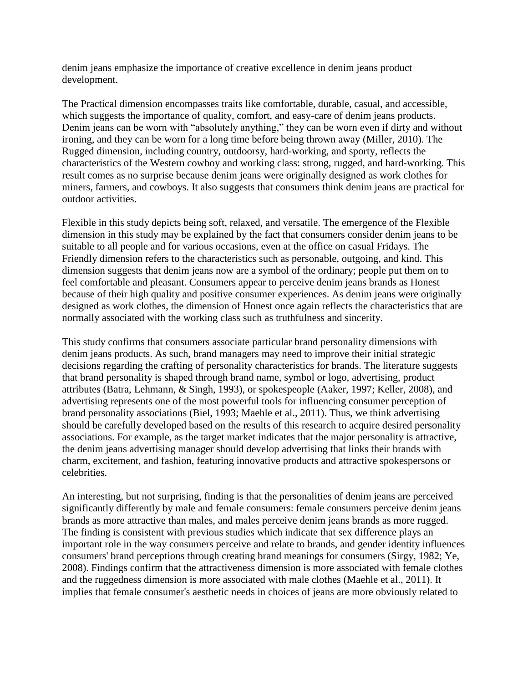denim jeans emphasize the importance of creative excellence in denim jeans product development.

The Practical dimension encompasses traits like comfortable, durable, casual, and accessible, which suggests the importance of quality, comfort, and easy-care of denim jeans products. Denim jeans can be worn with "absolutely anything," they can be worn even if dirty and without ironing, and they can be worn for a long time before being thrown away (Miller, 2010). The Rugged dimension, including country, outdoorsy, hard-working, and sporty, reflects the characteristics of the Western cowboy and working class: strong, rugged, and hard-working. This result comes as no surprise because denim jeans were originally designed as work clothes for miners, farmers, and cowboys. It also suggests that consumers think denim jeans are practical for outdoor activities.

Flexible in this study depicts being soft, relaxed, and versatile. The emergence of the Flexible dimension in this study may be explained by the fact that consumers consider denim jeans to be suitable to all people and for various occasions, even at the office on casual Fridays. The Friendly dimension refers to the characteristics such as personable, outgoing, and kind. This dimension suggests that denim jeans now are a symbol of the ordinary; people put them on to feel comfortable and pleasant. Consumers appear to perceive denim jeans brands as Honest because of their high quality and positive consumer experiences. As denim jeans were originally designed as work clothes, the dimension of Honest once again reflects the characteristics that are normally associated with the working class such as truthfulness and sincerity.

This study confirms that consumers associate particular brand personality dimensions with denim jeans products. As such, brand managers may need to improve their initial strategic decisions regarding the crafting of personality characteristics for brands. The literature suggests that brand personality is shaped through brand name, symbol or logo, advertising, product attributes (Batra, Lehmann, & Singh, 1993), or spokespeople (Aaker, 1997; Keller, 2008), and advertising represents one of the most powerful tools for influencing consumer perception of brand personality associations (Biel, 1993; Maehle et al., 2011). Thus, we think advertising should be carefully developed based on the results of this research to acquire desired personality associations. For example, as the target market indicates that the major personality is attractive, the denim jeans advertising manager should develop advertising that links their brands with charm, excitement, and fashion, featuring innovative products and attractive spokespersons or celebrities.

An interesting, but not surprising, finding is that the personalities of denim jeans are perceived significantly differently by male and female consumers: female consumers perceive denim jeans brands as more attractive than males, and males perceive denim jeans brands as more rugged. The finding is consistent with previous studies which indicate that sex difference plays an important role in the way consumers perceive and relate to brands, and gender identity influences consumers' brand perceptions through creating brand meanings for consumers (Sirgy, 1982; Ye, 2008). Findings confirm that the attractiveness dimension is more associated with female clothes and the ruggedness dimension is more associated with male clothes (Maehle et al., 2011). It implies that female consumer's aesthetic needs in choices of jeans are more obviously related to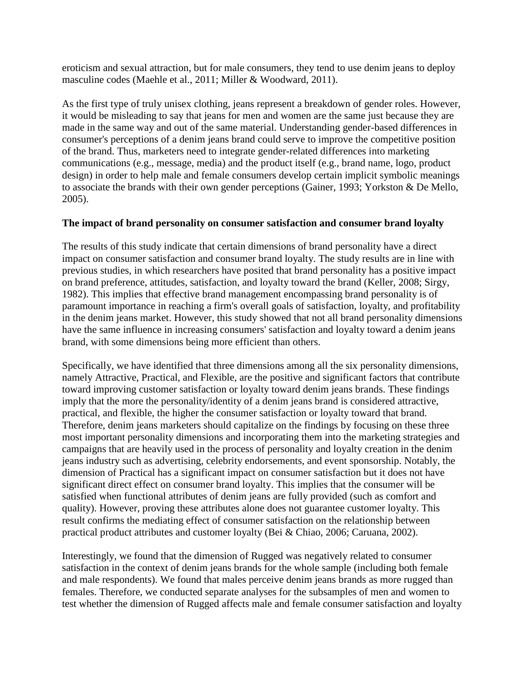eroticism and sexual attraction, but for male consumers, they tend to use denim jeans to deploy masculine codes (Maehle et al., 2011; Miller & Woodward, 2011).

As the first type of truly unisex clothing, jeans represent a breakdown of gender roles. However, it would be misleading to say that jeans for men and women are the same just because they are made in the same way and out of the same material. Understanding gender-based differences in consumer's perceptions of a denim jeans brand could serve to improve the competitive position of the brand. Thus, marketers need to integrate gender-related differences into marketing communications (e.g., message, media) and the product itself (e.g., brand name, logo, product design) in order to help male and female consumers develop certain implicit symbolic meanings to associate the brands with their own gender perceptions (Gainer, 1993; Yorkston & De Mello, 2005).

# **The impact of brand personality on consumer satisfaction and consumer brand loyalty**

The results of this study indicate that certain dimensions of brand personality have a direct impact on consumer satisfaction and consumer brand loyalty. The study results are in line with previous studies, in which researchers have posited that brand personality has a positive impact on brand preference, attitudes, satisfaction, and loyalty toward the brand (Keller, 2008; Sirgy, 1982). This implies that effective brand management encompassing brand personality is of paramount importance in reaching a firm's overall goals of satisfaction, loyalty, and profitability in the denim jeans market. However, this study showed that not all brand personality dimensions have the same influence in increasing consumers' satisfaction and loyalty toward a denim jeans brand, with some dimensions being more efficient than others.

Specifically, we have identified that three dimensions among all the six personality dimensions, namely Attractive, Practical, and Flexible, are the positive and significant factors that contribute toward improving customer satisfaction or loyalty toward denim jeans brands. These findings imply that the more the personality/identity of a denim jeans brand is considered attractive, practical, and flexible, the higher the consumer satisfaction or loyalty toward that brand. Therefore, denim jeans marketers should capitalize on the findings by focusing on these three most important personality dimensions and incorporating them into the marketing strategies and campaigns that are heavily used in the process of personality and loyalty creation in the denim jeans industry such as advertising, celebrity endorsements, and event sponsorship. Notably, the dimension of Practical has a significant impact on consumer satisfaction but it does not have significant direct effect on consumer brand loyalty. This implies that the consumer will be satisfied when functional attributes of denim jeans are fully provided (such as comfort and quality). However, proving these attributes alone does not guarantee customer loyalty. This result confirms the mediating effect of consumer satisfaction on the relationship between practical product attributes and customer loyalty (Bei & Chiao, 2006; Caruana, 2002).

Interestingly, we found that the dimension of Rugged was negatively related to consumer satisfaction in the context of denim jeans brands for the whole sample (including both female and male respondents). We found that males perceive denim jeans brands as more rugged than females. Therefore, we conducted separate analyses for the subsamples of men and women to test whether the dimension of Rugged affects male and female consumer satisfaction and loyalty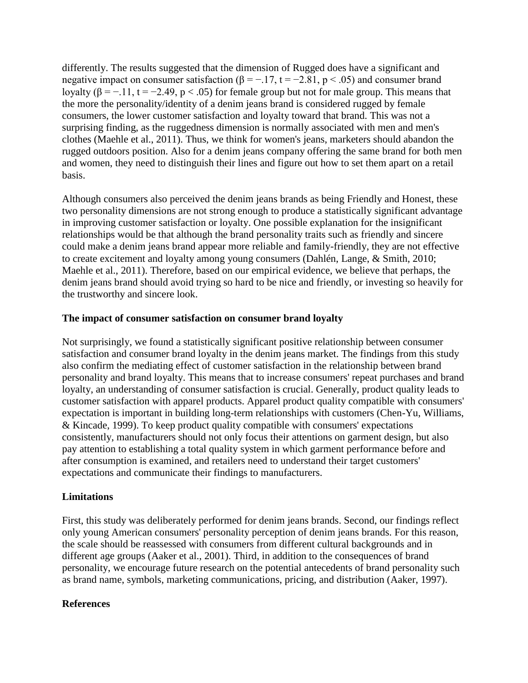differently. The results suggested that the dimension of Rugged does have a significant and negative impact on consumer satisfaction ( $\beta = -1.17$ , t = -2.81, p < .05) and consumer brand loyalty ( $\beta = -11$ ,  $t = -2.49$ ,  $p < .05$ ) for female group but not for male group. This means that the more the personality/identity of a denim jeans brand is considered rugged by female consumers, the lower customer satisfaction and loyalty toward that brand. This was not a surprising finding, as the ruggedness dimension is normally associated with men and men's clothes (Maehle et al., 2011). Thus, we think for women's jeans, marketers should abandon the rugged outdoors position. Also for a denim jeans company offering the same brand for both men and women, they need to distinguish their lines and figure out how to set them apart on a retail basis.

Although consumers also perceived the denim jeans brands as being Friendly and Honest, these two personality dimensions are not strong enough to produce a statistically significant advantage in improving customer satisfaction or loyalty. One possible explanation for the insignificant relationships would be that although the brand personality traits such as friendly and sincere could make a denim jeans brand appear more reliable and family-friendly, they are not effective to create excitement and loyalty among young consumers (Dahlén, Lange, & Smith, 2010; Maehle et al., 2011). Therefore, based on our empirical evidence, we believe that perhaps, the denim jeans brand should avoid trying so hard to be nice and friendly, or investing so heavily for the trustworthy and sincere look.

## **The impact of consumer satisfaction on consumer brand loyalty**

Not surprisingly, we found a statistically significant positive relationship between consumer satisfaction and consumer brand loyalty in the denim jeans market. The findings from this study also confirm the mediating effect of customer satisfaction in the relationship between brand personality and brand loyalty. This means that to increase consumers' repeat purchases and brand loyalty, an understanding of consumer satisfaction is crucial. Generally, product quality leads to customer satisfaction with apparel products. Apparel product quality compatible with consumers' expectation is important in building long-term relationships with customers (Chen-Yu, Williams, & Kincade, 1999). To keep product quality compatible with consumers' expectations consistently, manufacturers should not only focus their attentions on garment design, but also pay attention to establishing a total quality system in which garment performance before and after consumption is examined, and retailers need to understand their target customers' expectations and communicate their findings to manufacturers.

# **Limitations**

First, this study was deliberately performed for denim jeans brands. Second, our findings reflect only young American consumers' personality perception of denim jeans brands. For this reason, the scale should be reassessed with consumers from different cultural backgrounds and in different age groups (Aaker et al., 2001). Third, in addition to the consequences of brand personality, we encourage future research on the potential antecedents of brand personality such as brand name, symbols, marketing communications, pricing, and distribution (Aaker, 1997).

### **References**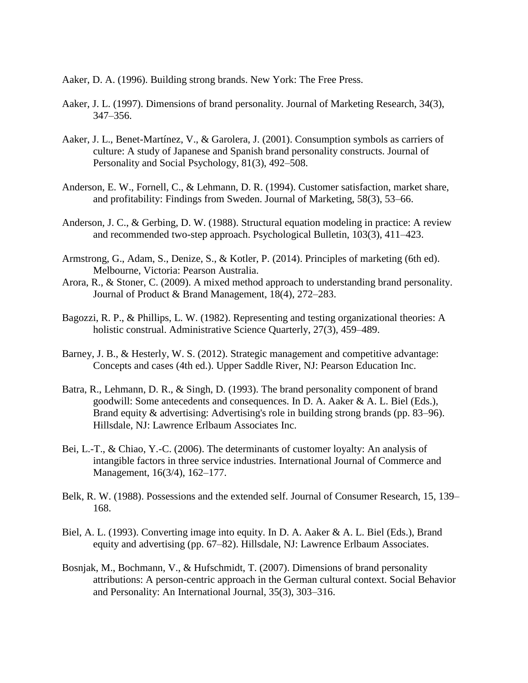Aaker, D. A. (1996). Building strong brands. New York: The Free Press.

- Aaker, J. L. (1997). Dimensions of brand personality. Journal of Marketing Research, 34(3), 347–356.
- Aaker, J. L., Benet-Martínez, V., & Garolera, J. (2001). Consumption symbols as carriers of culture: A study of Japanese and Spanish brand personality constructs. Journal of Personality and Social Psychology, 81(3), 492–508.
- Anderson, E. W., Fornell, C., & Lehmann, D. R. (1994). Customer satisfaction, market share, and profitability: Findings from Sweden. Journal of Marketing, 58(3), 53–66.
- Anderson, J. C., & Gerbing, D. W. (1988). Structural equation modeling in practice: A review and recommended two-step approach. Psychological Bulletin, 103(3), 411–423.
- Armstrong, G., Adam, S., Denize, S., & Kotler, P. (2014). Principles of marketing (6th ed). Melbourne, Victoria: Pearson Australia.
- Arora, R., & Stoner, C. (2009). A mixed method approach to understanding brand personality. Journal of Product & Brand Management, 18(4), 272–283.
- Bagozzi, R. P., & Phillips, L. W. (1982). Representing and testing organizational theories: A holistic construal. Administrative Science Quarterly, 27(3), 459–489.
- Barney, J. B., & Hesterly, W. S. (2012). Strategic management and competitive advantage: Concepts and cases (4th ed.). Upper Saddle River, NJ: Pearson Education Inc.
- Batra, R., Lehmann, D. R., & Singh, D. (1993). The brand personality component of brand goodwill: Some antecedents and consequences. In D. A. Aaker & A. L. Biel (Eds.), Brand equity & advertising: Advertising's role in building strong brands (pp. 83–96). Hillsdale, NJ: Lawrence Erlbaum Associates Inc.
- Bei, L.-T., & Chiao, Y.-C. (2006). The determinants of customer loyalty: An analysis of intangible factors in three service industries. International Journal of Commerce and Management, 16(3/4), 162–177.
- Belk, R. W. (1988). Possessions and the extended self. Journal of Consumer Research, 15, 139– 168.
- Biel, A. L. (1993). Converting image into equity. In D. A. Aaker & A. L. Biel (Eds.), Brand equity and advertising (pp. 67–82). Hillsdale, NJ: Lawrence Erlbaum Associates.
- Bosnjak, M., Bochmann, V., & Hufschmidt, T. (2007). Dimensions of brand personality attributions: A person-centric approach in the German cultural context. Social Behavior and Personality: An International Journal, 35(3), 303–316.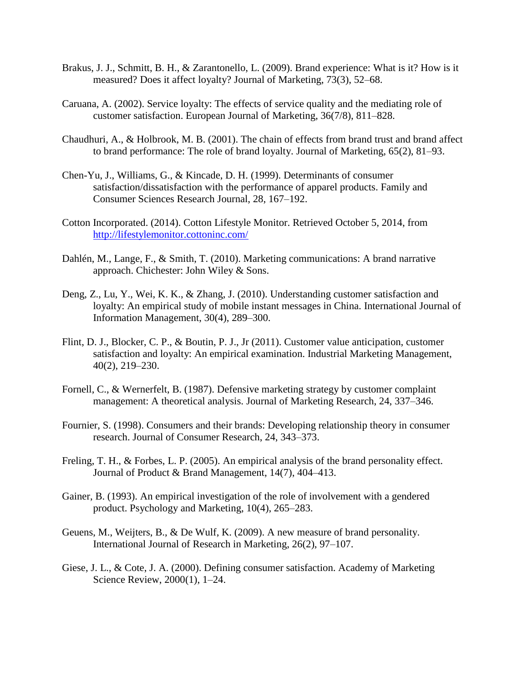- Brakus, J. J., Schmitt, B. H., & Zarantonello, L. (2009). Brand experience: What is it? How is it measured? Does it affect loyalty? Journal of Marketing, 73(3), 52–68.
- Caruana, A. (2002). Service loyalty: The effects of service quality and the mediating role of customer satisfaction. European Journal of Marketing, 36(7/8), 811–828.
- Chaudhuri, A., & Holbrook, M. B. (2001). The chain of effects from brand trust and brand affect to brand performance: The role of brand loyalty. Journal of Marketing, 65(2), 81–93.
- Chen-Yu, J., Williams, G., & Kincade, D. H. (1999). Determinants of consumer satisfaction/dissatisfaction with the performance of apparel products. Family and Consumer Sciences Research Journal, 28, 167–192.
- Cotton Incorporated. (2014). Cotton Lifestyle Monitor. Retrieved October 5, 2014, from <http://lifestylemonitor.cottoninc.com/>
- Dahlén, M., Lange, F., & Smith, T. (2010). Marketing communications: A brand narrative approach. Chichester: John Wiley & Sons.
- Deng, Z., Lu, Y., Wei, K. K., & Zhang, J. (2010). Understanding customer satisfaction and loyalty: An empirical study of mobile instant messages in China. International Journal of Information Management, 30(4), 289–300.
- Flint, D. J., Blocker, C. P., & Boutin, P. J., Jr (2011). Customer value anticipation, customer satisfaction and loyalty: An empirical examination. Industrial Marketing Management, 40(2), 219–230.
- Fornell, C., & Wernerfelt, B. (1987). Defensive marketing strategy by customer complaint management: A theoretical analysis. Journal of Marketing Research, 24, 337–346.
- Fournier, S. (1998). Consumers and their brands: Developing relationship theory in consumer research. Journal of Consumer Research, 24, 343–373.
- Freling, T. H., & Forbes, L. P. (2005). An empirical analysis of the brand personality effect. Journal of Product & Brand Management, 14(7), 404–413.
- Gainer, B. (1993). An empirical investigation of the role of involvement with a gendered product. Psychology and Marketing, 10(4), 265–283.
- Geuens, M., Weijters, B., & De Wulf, K. (2009). A new measure of brand personality. International Journal of Research in Marketing, 26(2), 97–107.
- Giese, J. L., & Cote, J. A. (2000). Defining consumer satisfaction. Academy of Marketing Science Review, 2000(1), 1–24.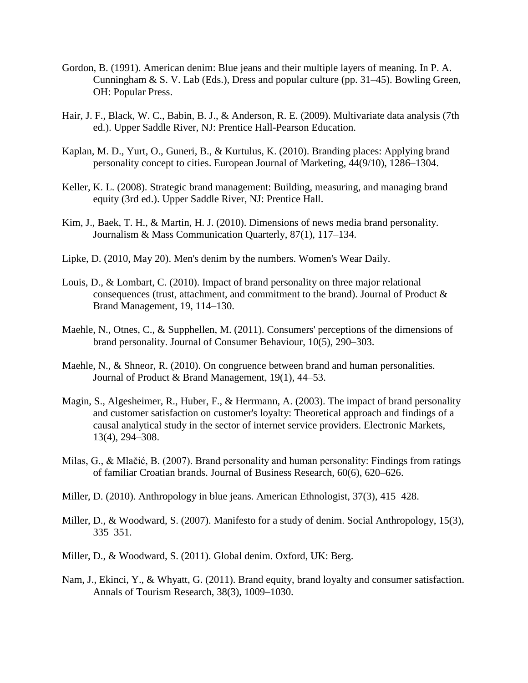- Gordon, B. (1991). American denim: Blue jeans and their multiple layers of meaning. In P. A. Cunningham & S. V. Lab (Eds.), Dress and popular culture (pp. 31–45). Bowling Green, OH: Popular Press.
- Hair, J. F., Black, W. C., Babin, B. J., & Anderson, R. E. (2009). Multivariate data analysis (7th ed.). Upper Saddle River, NJ: Prentice Hall-Pearson Education.
- Kaplan, M. D., Yurt, O., Guneri, B., & Kurtulus, K. (2010). Branding places: Applying brand personality concept to cities. European Journal of Marketing, 44(9/10), 1286–1304.
- Keller, K. L. (2008). Strategic brand management: Building, measuring, and managing brand equity (3rd ed.). Upper Saddle River, NJ: Prentice Hall.
- Kim, J., Baek, T. H., & Martin, H. J. (2010). Dimensions of news media brand personality. Journalism & Mass Communication Quarterly, 87(1), 117–134.
- Lipke, D. (2010, May 20). Men's denim by the numbers. Women's Wear Daily.
- Louis, D., & Lombart, C. (2010). Impact of brand personality on three major relational consequences (trust, attachment, and commitment to the brand). Journal of Product & Brand Management, 19, 114–130.
- Maehle, N., Otnes, C., & Supphellen, M. (2011). Consumers' perceptions of the dimensions of brand personality. Journal of Consumer Behaviour, 10(5), 290–303.
- Maehle, N., & Shneor, R. (2010). On congruence between brand and human personalities. Journal of Product & Brand Management, 19(1), 44–53.
- Magin, S., Algesheimer, R., Huber, F., & Herrmann, A. (2003). The impact of brand personality and customer satisfaction on customer's loyalty: Theoretical approach and findings of a causal analytical study in the sector of internet service providers. Electronic Markets, 13(4), 294–308.
- Milas, G., & Mlačić, B. (2007). Brand personality and human personality: Findings from ratings of familiar Croatian brands. Journal of Business Research, 60(6), 620–626.
- Miller, D. (2010). Anthropology in blue jeans. American Ethnologist, 37(3), 415–428.
- Miller, D., & Woodward, S. (2007). Manifesto for a study of denim. Social Anthropology, 15(3), 335–351.
- Miller, D., & Woodward, S. (2011). Global denim. Oxford, UK: Berg.
- Nam, J., Ekinci, Y., & Whyatt, G. (2011). Brand equity, brand loyalty and consumer satisfaction. Annals of Tourism Research, 38(3), 1009–1030.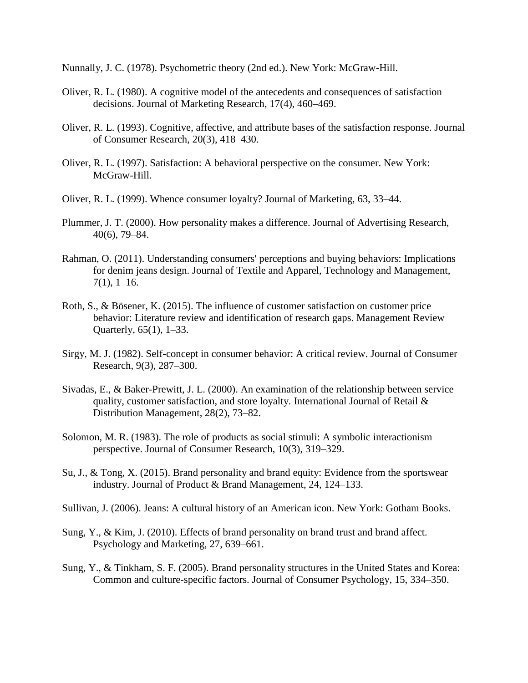Nunnally, J. C. (1978). Psychometric theory (2nd ed.). New York: McGraw-Hill.

- Oliver, R. L. (1980). A cognitive model of the antecedents and consequences of satisfaction decisions. Journal of Marketing Research, 17(4), 460–469.
- Oliver, R. L. (1993). Cognitive, affective, and attribute bases of the satisfaction response. Journal of Consumer Research, 20(3), 418–430.
- Oliver, R. L. (1997). Satisfaction: A behavioral perspective on the consumer. New York: McGraw-Hill.
- Oliver, R. L. (1999). Whence consumer loyalty? Journal of Marketing, 63, 33–44.
- Plummer, J. T. (2000). How personality makes a difference. Journal of Advertising Research, 40(6), 79–84.
- Rahman, O. (2011). Understanding consumers' perceptions and buying behaviors: Implications for denim jeans design. Journal of Textile and Apparel, Technology and Management,  $7(1), 1-16.$
- Roth, S., & Bösener, K. (2015). The influence of customer satisfaction on customer price behavior: Literature review and identification of research gaps. Management Review Quarterly, 65(1), 1–33.
- Sirgy, M. J. (1982). Self-concept in consumer behavior: A critical review. Journal of Consumer Research, 9(3), 287–300.
- Sivadas, E., & Baker-Prewitt, J. L. (2000). An examination of the relationship between service quality, customer satisfaction, and store loyalty. International Journal of Retail & Distribution Management, 28(2), 73–82.
- Solomon, M. R. (1983). The role of products as social stimuli: A symbolic interactionism perspective. Journal of Consumer Research, 10(3), 319–329.
- Su, J., & Tong, X. (2015). Brand personality and brand equity: Evidence from the sportswear industry. Journal of Product & Brand Management, 24, 124–133.
- Sullivan, J. (2006). Jeans: A cultural history of an American icon. New York: Gotham Books.
- Sung, Y., & Kim, J. (2010). Effects of brand personality on brand trust and brand affect. Psychology and Marketing, 27, 639–661.
- Sung, Y., & Tinkham, S. F. (2005). Brand personality structures in the United States and Korea: Common and culture-specific factors. Journal of Consumer Psychology, 15, 334–350.